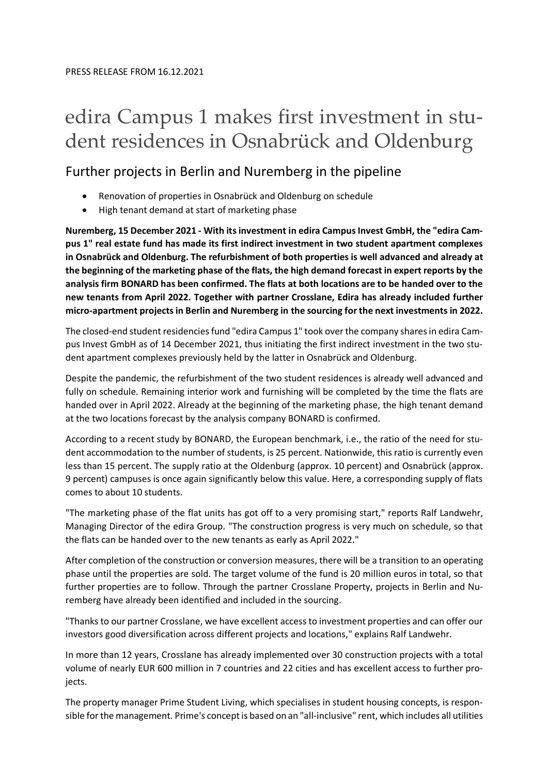# edira Campus 1 makes first investment in student residences in Osnabrück and Oldenburg

## Further projects in Berlin and Nuremberg in the pipeline

- Renovation of properties in Osnabrück and Oldenburg on schedule
- High tenant demand at start of marketing phase

**Nuremberg, 15 December 2021 - With its investment in edira Campus Invest GmbH, the "edira Campus 1" real estate fund has made its first indirect investment in two student apartment complexes in Osnabrück and Oldenburg. The refurbishment of both properties is well advanced and already at the beginning of the marketing phase of the flats, the high demand forecast in expert reports by the analysis firm BONARD has been confirmed. The flats at both locations are to be handed over to the new tenants from April 2022. Together with partner Crosslane, Edira has already included further micro-apartment projects in Berlin and Nuremberg in the sourcing for the next investments in 2022.**

The closed-end student residencies fund "edira Campus 1" took over the company shares in edira Campus Invest GmbH as of 14 December 2021, thus initiating the first indirect investment in the two student apartment complexes previously held by the latter in Osnabrück and Oldenburg.

Despite the pandemic, the refurbishment of the two student residences is already well advanced and fully on schedule. Remaining interior work and furnishing will be completed by the time the flats are handed over in April 2022. Already at the beginning of the marketing phase, the high tenant demand at the two locations forecast by the analysis company BONARD is confirmed.

According to a recent study by BONARD, the European benchmark, i.e., the ratio of the need for student accommodation to the number of students, is 25 percent. Nationwide, this ratio is currently even less than 15 percent. The supply ratio at the Oldenburg (approx. 10 percent) and Osnabrück (approx. 9 percent) campuses is once again significantly below this value. Here, a corresponding supply of flats comes to about 10 students.

"The marketing phase of the flat units has got off to a very promising start," reports Ralf Landwehr, Managing Director of the edira Group. "The construction progress is very much on schedule, so that the flats can be handed over to the new tenants as early as April 2022."

After completion of the construction or conversion measures, there will be a transition to an operating phase until the properties are sold. The target volume of the fund is 20 million euros in total, so that further properties are to follow. Through the partner Crosslane Property, projects in Berlin and Nuremberg have already been identified and included in the sourcing.

"Thanks to our partner Crosslane, we have excellent access to investment properties and can offer our investors good diversification across different projects and locations," explains Ralf Landwehr.

In more than 12 years, Crosslane has already implemented over 30 construction projects with a total volume of nearly EUR 600 million in 7 countries and 22 cities and has excellent access to further projects.

The property manager Prime Student Living, which specialises in student housing concepts, is responsible for the management. Prime's concept is based on an "all-inclusive" rent, which includes all utilities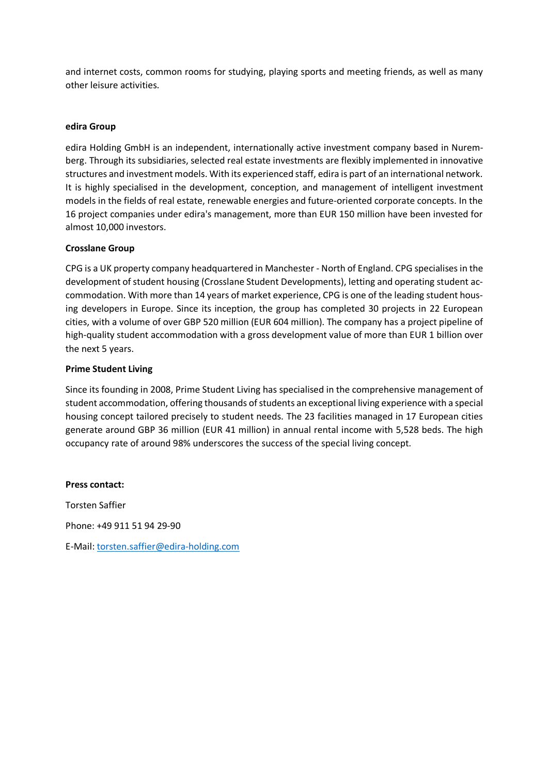and internet costs, common rooms for studying, playing sports and meeting friends, as well as many other leisure activities.

#### **edira Group**

edira Holding GmbH is an independent, internationally active investment company based in Nuremberg. Through its subsidiaries, selected real estate investments are flexibly implemented in innovative structures and investment models. With its experienced staff, edira is part of an international network. It is highly specialised in the development, conception, and management of intelligent investment models in the fields of real estate, renewable energies and future-oriented corporate concepts. In the 16 project companies under edira's management, more than EUR 150 million have been invested for almost 10,000 investors.

### **Crosslane Group**

CPG is a UK property company headquartered in Manchester - North of England. CPG specialises in the development of student housing (Crosslane Student Developments), letting and operating student accommodation. With more than 14 years of market experience, CPG is one of the leading student housing developers in Europe. Since its inception, the group has completed 30 projects in 22 European cities, with a volume of over GBP 520 million (EUR 604 million). The company has a project pipeline of high-quality student accommodation with a gross development value of more than EUR 1 billion over the next 5 years.

### **Prime Student Living**

Since its founding in 2008, Prime Student Living has specialised in the comprehensive management of student accommodation, offering thousands of students an exceptional living experience with a special housing concept tailored precisely to student needs. The 23 facilities managed in 17 European cities generate around GBP 36 million (EUR 41 million) in annual rental income with 5,528 beds. The high occupancy rate of around 98% underscores the success of the special living concept.

**Press contact:** Torsten Saffier Phone: +49 911 51 94 29-90 E-Mail: torsten.saffier@edira-holding.com